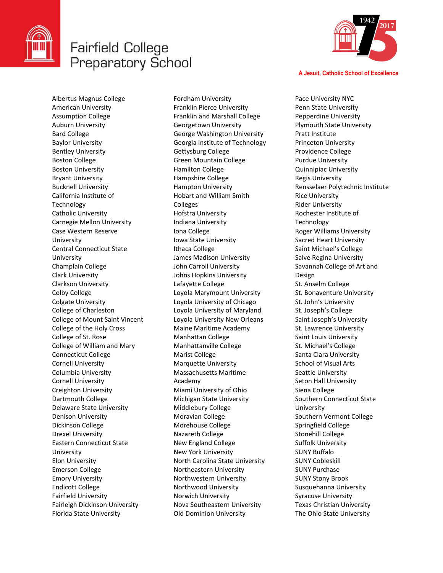

## **Fairfield College Preparatory School**



**A Jesuit, Catholic School of Excellence**

Pace University NYC

Albertus Magnus College American University Assumption College Auburn University Bard College Baylor University Bentley University Boston College Boston University Bryant University Bucknell University California Institute of **Technology** Catholic University Carnegie Mellon University Case Western Reserve University Central Connecticut State University Champlain College Clark University Clarkson University Colby College Colgate University College of Charleston College of Mount Saint Vincent College of the Holy Cross College of St. Rose College of William and Mary Connecticut College Cornell University Columbia University Cornell University Creighton University Dartmouth College Delaware State University Denison University Dickinson College Drexel University Eastern Connecticut State University Elon University Emerson College Emory University Endicott College Fairfield University Fairleigh Dickinson University Florida State University

Fordham University Franklin Pierce University Franklin and Marshall College Georgetown University George Washington University Georgia Institute of Technology Gettysburg College Green Mountain College Hamilton College Hampshire College Hampton University Hobart and William Smith Colleges Hofstra University Indiana University Iona College Iowa State University Ithaca College James Madison University John Carroll University Johns Hopkins University Lafayette College Loyola Marymount University Loyola University of Chicago Loyola University of Maryland Loyola University New Orleans Maine Maritime Academy Manhattan College Manhattanville College Marist College Marquette University Massachusetts Maritime Academy Miami University of Ohio Michigan State University Middlebury College Moravian College Morehouse College Nazareth College New England College New York University North Carolina State University Northeastern University Northwestern University Northwood University Norwich University Nova Southeastern University Old Dominion University

Penn State University Pepperdine University Plymouth State University Pratt Institute Princeton University Providence College Purdue University Quinnipiac University Regis University Rensselaer Polytechnic Institute Rice University Rider University Rochester Institute of **Technology** Roger Williams University Sacred Heart University Saint Michael's College Salve Regina University Savannah College of Art and Design St. Anselm College St. Bonaventure University St. John's University St. Joseph's College Saint Joseph's University St. Lawrence University Saint Louis University St. Michael's College Santa Clara University School of Visual Arts Seattle University Seton Hall University Siena College Southern Connecticut State University Southern Vermont College Springfield College Stonehill College Suffolk University SUNY Buffalo SUNY Cobleskill SUNY Purchase SUNY Stony Brook Susquehanna University Syracuse University Texas Christian University The Ohio State University